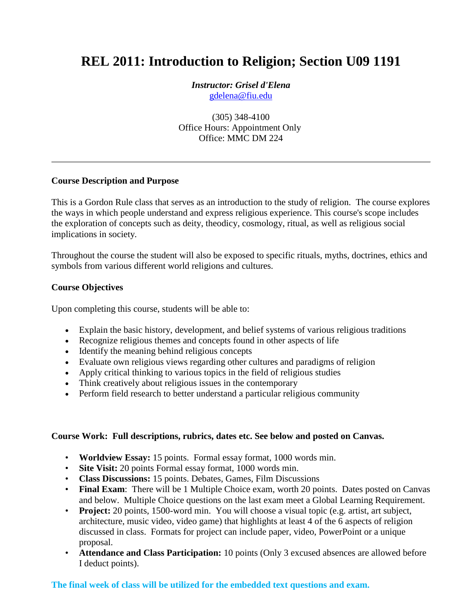# **REL 2011: Introduction to Religion; Section U09 1191**

*Instructor: Grisel d'Elena* [gdelena@fiu.edu](mailto:professor@fiu.edu)

(305) 348-4100 Office Hours: Appointment Only Office: MMC DM 224

### **Course Description and Purpose**

This is a Gordon Rule class that serves as an introduction to the study of religion. The course explores the ways in which people understand and express religious experience. This course's scope includes the exploration of concepts such as deity, theodicy, cosmology, ritual, as well as religious social implications in society.

Throughout the course the student will also be exposed to specific rituals, myths, doctrines, ethics and symbols from various different world religions and cultures.

### **Course Objectives**

Upon completing this course, students will be able to:

- Explain the basic history, development, and belief systems of various religious traditions
- Recognize religious themes and concepts found in other aspects of life
- Identify the meaning behind religious concepts
- Evaluate own religious views regarding other cultures and paradigms of religion
- Apply critical thinking to various topics in the field of religious studies
- Think creatively about religious issues in the contemporary
- Perform field research to better understand a particular religious community

#### **Course Work: Full descriptions, rubrics, dates etc. See below and posted on Canvas.**

- **Worldview Essay:** 15 points. Formal essay format, 1000 words min.
- **Site Visit:** 20 points Formal essay format, 1000 words min.
- **Class Discussions:** 15 points. Debates, Games, Film Discussions
- **Final Exam**: There will be 1 Multiple Choice exam, worth 20 points. Dates posted on Canvas and below. Multiple Choice questions on the last exam meet a Global Learning Requirement.
- **Project:** 20 points, 1500-word min. You will choose a visual topic (e.g. artist, art subject, architecture, music video, video game) that highlights at least 4 of the 6 aspects of religion discussed in class. Formats for project can include paper, video, PowerPoint or a unique proposal.
- **Attendance and Class Participation:** 10 points (Only 3 excused absences are allowed before I deduct points).

### **The final week of class will be utilized for the embedded text questions and exam.**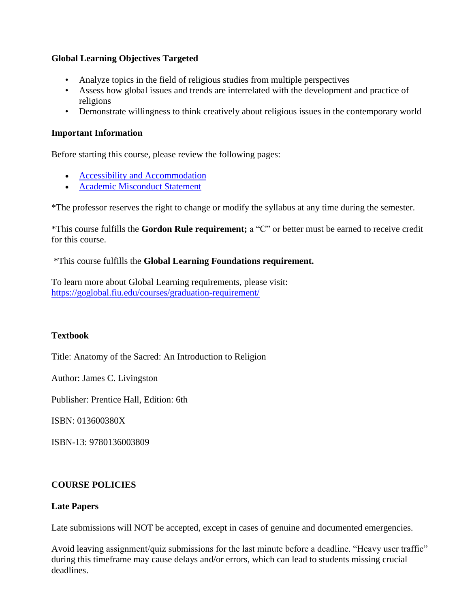### **Global Learning Objectives Targeted**

- Analyze topics in the field of religious studies from multiple perspectives
- Assess how global issues and trends are interrelated with the development and practice of religions
- Demonstrate willingness to think creatively about religious issues in the contemporary world

## **Important Information**

Before starting this course, please review the following pages:

- [Accessibility and Accommodation](/courses/14364/pages/accessibility-and-accommodation)
- [Academic Misconduct Statement](/courses/14364/pages/academic-misconduct-statement)

\*The professor reserves the right to change or modify the syllabus at any time during the semester.

\*This course fulfills the **Gordon Rule requirement;** a "C" or better must be earned to receive credit for this course.

\*This course fulfills the **Global Learning Foundations requirement.**

To learn more about Global Learning requirements, please visit: <https://goglobal.fiu.edu/courses/graduation-requirement/>

# **Textbook**

Title: Anatomy of the Sacred: An Introduction to Religion

Author: James C. Livingston

Publisher: Prentice Hall, Edition: 6th

ISBN: 013600380X

ISBN-13: 9780136003809

# **COURSE POLICIES**

### **Late Papers**

Late submissions will NOT be accepted, except in cases of genuine and documented emergencies.

Avoid leaving assignment/quiz submissions for the last minute before a deadline. "Heavy user traffic" during this timeframe may cause delays and/or errors, which can lead to students missing crucial deadlines.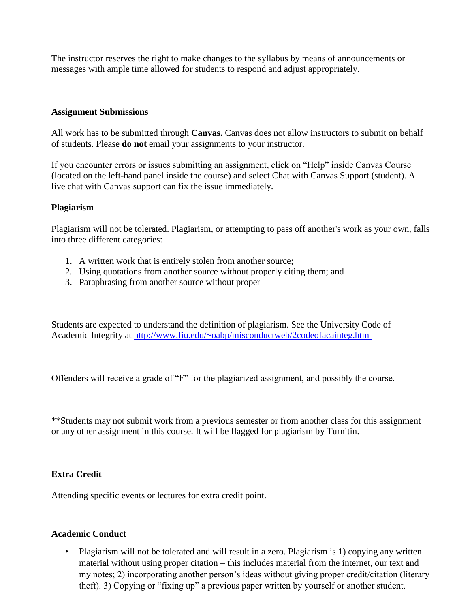The instructor reserves the right to make changes to the syllabus by means of announcements or messages with ample time allowed for students to respond and adjust appropriately.

### **Assignment Submissions**

All work has to be submitted through **Canvas.** Canvas does not allow instructors to submit on behalf of students. Please **do not** email your assignments to your instructor.

If you encounter errors or issues submitting an assignment, click on "Help" inside Canvas Course (located on the left-hand panel inside the course) and select Chat with Canvas Support (student). A live chat with Canvas support can fix the issue immediately.

### **Plagiarism**

Plagiarism will not be tolerated. Plagiarism, or attempting to pass off another's work as your own, falls into three different categories:

- 1. A written work that is entirely stolen from another source;
- 2. Using quotations from another source without properly citing them; and
- 3. Paraphrasing from another source without proper

Students are expected to understand the definition of plagiarism. See the University Code of Academic Integrity at<http://www.fiu.edu/~oabp/misconductweb/2codeofacainteg.htm>

Offenders will receive a grade of "F" for the plagiarized assignment, and possibly the course.

\*\*Students may not submit work from a previous semester or from another class for this assignment or any other assignment in this course. It will be flagged for plagiarism by Turnitin.

### **Extra Credit**

Attending specific events or lectures for extra credit point.

#### **Academic Conduct**

• Plagiarism will not be tolerated and will result in a zero. Plagiarism is 1) copying any written material without using proper citation – this includes material from the internet, our text and my notes; 2) incorporating another person's ideas without giving proper credit/citation (literary theft). 3) Copying or "fixing up" a previous paper written by yourself or another student.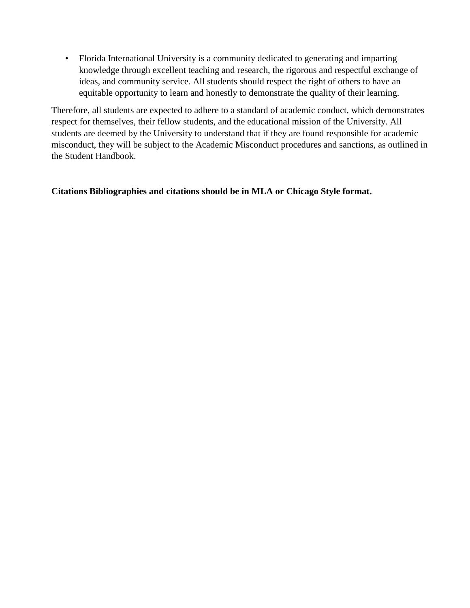• Florida International University is a community dedicated to generating and imparting knowledge through excellent teaching and research, the rigorous and respectful exchange of ideas, and community service. All students should respect the right of others to have an equitable opportunity to learn and honestly to demonstrate the quality of their learning.

Therefore, all students are expected to adhere to a standard of academic conduct, which demonstrates respect for themselves, their fellow students, and the educational mission of the University. All students are deemed by the University to understand that if they are found responsible for academic misconduct, they will be subject to the Academic Misconduct procedures and sanctions, as outlined in the Student Handbook.

**Citations Bibliographies and citations should be in MLA or Chicago Style format.**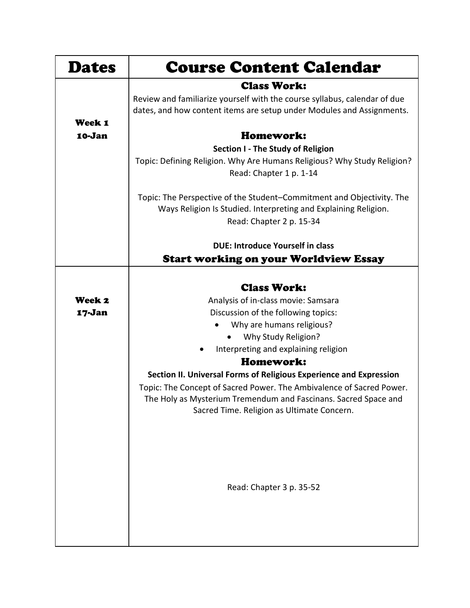| <b>Dates</b> | <b>Course Content Calendar</b>                                                                                                          |
|--------------|-----------------------------------------------------------------------------------------------------------------------------------------|
|              | <b>Class Work:</b>                                                                                                                      |
|              | Review and familiarize yourself with the course syllabus, calendar of due                                                               |
|              | dates, and how content items are setup under Modules and Assignments.                                                                   |
| Week 1       |                                                                                                                                         |
| 10-Jan       | Homework:                                                                                                                               |
|              | Section I - The Study of Religion                                                                                                       |
|              | Topic: Defining Religion. Why Are Humans Religious? Why Study Religion?                                                                 |
|              | Read: Chapter 1 p. 1-14                                                                                                                 |
|              | Topic: The Perspective of the Student-Commitment and Objectivity. The                                                                   |
|              | Ways Religion Is Studied. Interpreting and Explaining Religion.                                                                         |
|              | Read: Chapter 2 p. 15-34                                                                                                                |
|              |                                                                                                                                         |
|              | <b>DUE: Introduce Yourself in class</b>                                                                                                 |
|              | <b>Start working on your Worldview Essay</b>                                                                                            |
|              |                                                                                                                                         |
|              | <b>Class Work:</b>                                                                                                                      |
| Week 2       | Analysis of in-class movie: Samsara                                                                                                     |
| 17-Jan       | Discussion of the following topics:                                                                                                     |
|              | Why are humans religious?                                                                                                               |
|              | Why Study Religion?                                                                                                                     |
|              | Interpreting and explaining religion                                                                                                    |
|              | Homework:                                                                                                                               |
|              | Section II. Universal Forms of Religious Experience and Expression                                                                      |
|              | Topic: The Concept of Sacred Power. The Ambivalence of Sacred Power.<br>The Holy as Mysterium Tremendum and Fascinans. Sacred Space and |
|              | Sacred Time. Religion as Ultimate Concern.                                                                                              |
|              |                                                                                                                                         |
|              |                                                                                                                                         |
|              |                                                                                                                                         |
|              |                                                                                                                                         |
|              |                                                                                                                                         |
|              | Read: Chapter 3 p. 35-52                                                                                                                |
|              |                                                                                                                                         |
|              |                                                                                                                                         |
|              |                                                                                                                                         |
|              |                                                                                                                                         |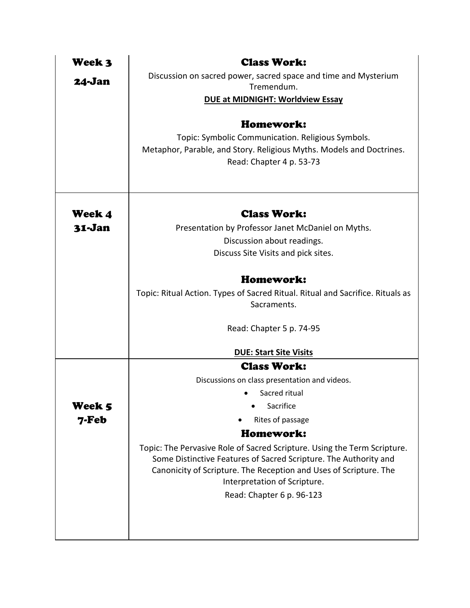| Week 3 | <b>Class Work:</b>                                                                                                                                                                                                                                |
|--------|---------------------------------------------------------------------------------------------------------------------------------------------------------------------------------------------------------------------------------------------------|
| 24-Jan | Discussion on sacred power, sacred space and time and Mysterium                                                                                                                                                                                   |
|        | Tremendum.                                                                                                                                                                                                                                        |
|        | <b>DUE at MIDNIGHT: Worldview Essay</b>                                                                                                                                                                                                           |
|        | Homework:                                                                                                                                                                                                                                         |
|        | Topic: Symbolic Communication. Religious Symbols.                                                                                                                                                                                                 |
|        | Metaphor, Parable, and Story. Religious Myths. Models and Doctrines.                                                                                                                                                                              |
|        | Read: Chapter 4 p. 53-73                                                                                                                                                                                                                          |
|        |                                                                                                                                                                                                                                                   |
|        |                                                                                                                                                                                                                                                   |
| Week 4 | <b>Class Work:</b>                                                                                                                                                                                                                                |
| 31-Jan | Presentation by Professor Janet McDaniel on Myths.                                                                                                                                                                                                |
|        | Discussion about readings.                                                                                                                                                                                                                        |
|        | Discuss Site Visits and pick sites.                                                                                                                                                                                                               |
|        | Homework:                                                                                                                                                                                                                                         |
|        | Topic: Ritual Action. Types of Sacred Ritual. Ritual and Sacrifice. Rituals as                                                                                                                                                                    |
|        | Sacraments.                                                                                                                                                                                                                                       |
|        | Read: Chapter 5 p. 74-95                                                                                                                                                                                                                          |
|        | <b>DUE: Start Site Visits</b>                                                                                                                                                                                                                     |
|        | <b>Class Work:</b>                                                                                                                                                                                                                                |
|        | Discussions on class presentation and videos.                                                                                                                                                                                                     |
|        | Sacred ritual                                                                                                                                                                                                                                     |
| Week 5 | Sacrifice                                                                                                                                                                                                                                         |
| 7-Feb  | Rites of passage                                                                                                                                                                                                                                  |
|        | Homework:                                                                                                                                                                                                                                         |
|        | Topic: The Pervasive Role of Sacred Scripture. Using the Term Scripture.<br>Some Distinctive Features of Sacred Scripture. The Authority and<br>Canonicity of Scripture. The Reception and Uses of Scripture. The<br>Interpretation of Scripture. |
|        | Read: Chapter 6 p. 96-123                                                                                                                                                                                                                         |
|        |                                                                                                                                                                                                                                                   |
|        |                                                                                                                                                                                                                                                   |
|        |                                                                                                                                                                                                                                                   |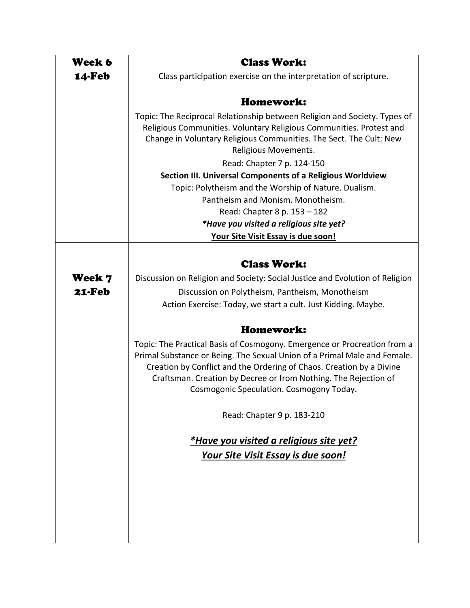| Week 6     | <b>Class Work:</b>                                                                                                                        |
|------------|-------------------------------------------------------------------------------------------------------------------------------------------|
| 14-Feb     | Class participation exercise on the interpretation of scripture.                                                                          |
|            |                                                                                                                                           |
|            | Homework:                                                                                                                                 |
|            | Topic: The Reciprocal Relationship between Religion and Society. Types of                                                                 |
|            | Religious Communities. Voluntary Religious Communities. Protest and<br>Change in Voluntary Religious Communities. The Sect. The Cult: New |
|            | Religious Movements.                                                                                                                      |
|            | Read: Chapter 7 p. 124-150                                                                                                                |
|            | Section III. Universal Components of a Religious Worldview                                                                                |
|            | Topic: Polytheism and the Worship of Nature. Dualism.                                                                                     |
|            | Pantheism and Monism. Monotheism.                                                                                                         |
|            | Read: Chapter 8 p. 153 - 182                                                                                                              |
|            | *Have you visited a religious site yet?                                                                                                   |
|            | Your Site Visit Essay is due soon!                                                                                                        |
|            |                                                                                                                                           |
|            | <b>Class Work:</b>                                                                                                                        |
| Week 7     | Discussion on Religion and Society: Social Justice and Evolution of Religion                                                              |
| $21 - Feb$ | Discussion on Polytheism, Pantheism, Monotheism                                                                                           |
|            | Action Exercise: Today, we start a cult. Just Kidding. Maybe.                                                                             |
|            |                                                                                                                                           |
|            | Homework:                                                                                                                                 |
|            | Topic: The Practical Basis of Cosmogony. Emergence or Procreation from a                                                                  |
|            | Primal Substance or Being. The Sexual Union of a Primal Male and Female.                                                                  |
|            | Creation by Conflict and the Ordering of Chaos. Creation by a Divine                                                                      |
|            | Craftsman. Creation by Decree or from Nothing. The Rejection of                                                                           |
|            | Cosmogonic Speculation. Cosmogony Today.                                                                                                  |
|            | Read: Chapter 9 p. 183-210                                                                                                                |
|            |                                                                                                                                           |
|            | *Have you visited a religious site yet?                                                                                                   |
|            | <u>Your Site Visit Essay is due soon!</u>                                                                                                 |
|            |                                                                                                                                           |
|            |                                                                                                                                           |
|            |                                                                                                                                           |
|            |                                                                                                                                           |
|            |                                                                                                                                           |
|            |                                                                                                                                           |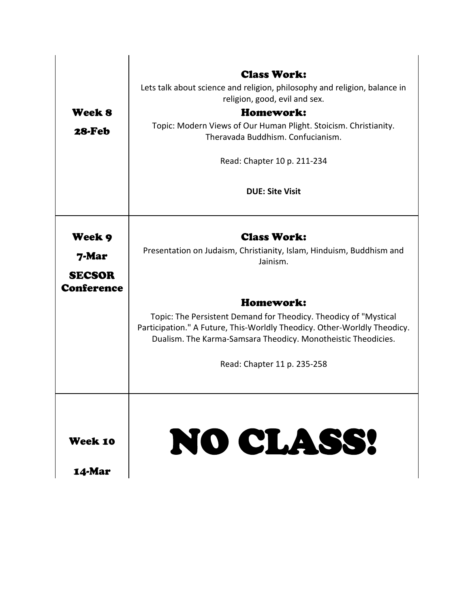|                                    | <b>Class Work:</b><br>Lets talk about science and religion, philosophy and religion, balance in                                                                                                               |
|------------------------------------|---------------------------------------------------------------------------------------------------------------------------------------------------------------------------------------------------------------|
|                                    | religion, good, evil and sex.                                                                                                                                                                                 |
| Week 8                             | Homework:                                                                                                                                                                                                     |
| 28-Feb                             | Topic: Modern Views of Our Human Plight. Stoicism. Christianity.<br>Theravada Buddhism. Confucianism.                                                                                                         |
|                                    | Read: Chapter 10 p. 211-234                                                                                                                                                                                   |
|                                    | <b>DUE: Site Visit</b>                                                                                                                                                                                        |
| Week 9                             | <b>Class Work:</b>                                                                                                                                                                                            |
| 7-Mar                              | Presentation on Judaism, Christianity, Islam, Hinduism, Buddhism and<br>Jainism.                                                                                                                              |
| <b>SECSOR</b><br><b>Conference</b> |                                                                                                                                                                                                               |
|                                    | Homework:                                                                                                                                                                                                     |
|                                    | Topic: The Persistent Demand for Theodicy. Theodicy of "Mystical<br>Participation." A Future, This-Worldly Theodicy. Other-Worldly Theodicy.<br>Dualism. The Karma-Samsara Theodicy. Monotheistic Theodicies. |
|                                    | Read: Chapter 11 p. 235-258                                                                                                                                                                                   |
| Week 10                            | NO CLASS!                                                                                                                                                                                                     |
| <b>14-Mar</b>                      |                                                                                                                                                                                                               |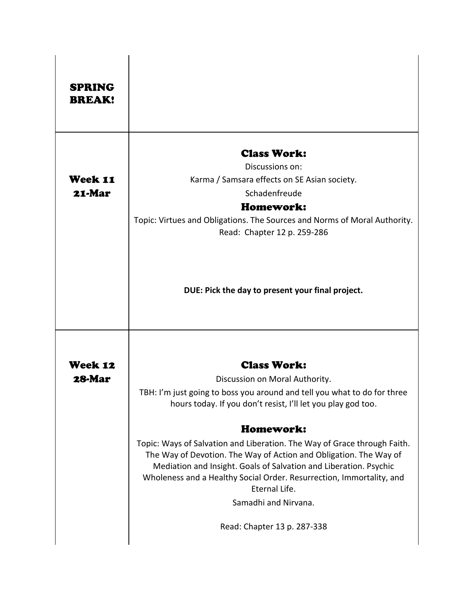| <b>SPRING</b><br><b>BREAK!</b> |                                                                                                                                                                                                                                                                                                             |
|--------------------------------|-------------------------------------------------------------------------------------------------------------------------------------------------------------------------------------------------------------------------------------------------------------------------------------------------------------|
|                                | <b>Class Work:</b>                                                                                                                                                                                                                                                                                          |
| Week 11                        | Discussions on:<br>Karma / Samsara effects on SE Asian society.                                                                                                                                                                                                                                             |
| 21-Mar                         | Schadenfreude                                                                                                                                                                                                                                                                                               |
|                                | Homework:                                                                                                                                                                                                                                                                                                   |
|                                | Topic: Virtues and Obligations. The Sources and Norms of Moral Authority.<br>Read: Chapter 12 p. 259-286                                                                                                                                                                                                    |
|                                | DUE: Pick the day to present your final project.                                                                                                                                                                                                                                                            |
| <b>Week 12</b>                 | <b>Class Work:</b>                                                                                                                                                                                                                                                                                          |
| 28-Mar                         | Discussion on Moral Authority.                                                                                                                                                                                                                                                                              |
|                                | TBH: I'm just going to boss you around and tell you what to do for three<br>hours today. If you don't resist, I'll let you play god too.                                                                                                                                                                    |
|                                | Homework:                                                                                                                                                                                                                                                                                                   |
|                                | Topic: Ways of Salvation and Liberation. The Way of Grace through Faith.<br>The Way of Devotion. The Way of Action and Obligation. The Way of<br>Mediation and Insight. Goals of Salvation and Liberation. Psychic<br>Wholeness and a Healthy Social Order. Resurrection, Immortality, and<br>Eternal Life. |
|                                | Samadhi and Nirvana.                                                                                                                                                                                                                                                                                        |
|                                | Read: Chapter 13 p. 287-338                                                                                                                                                                                                                                                                                 |